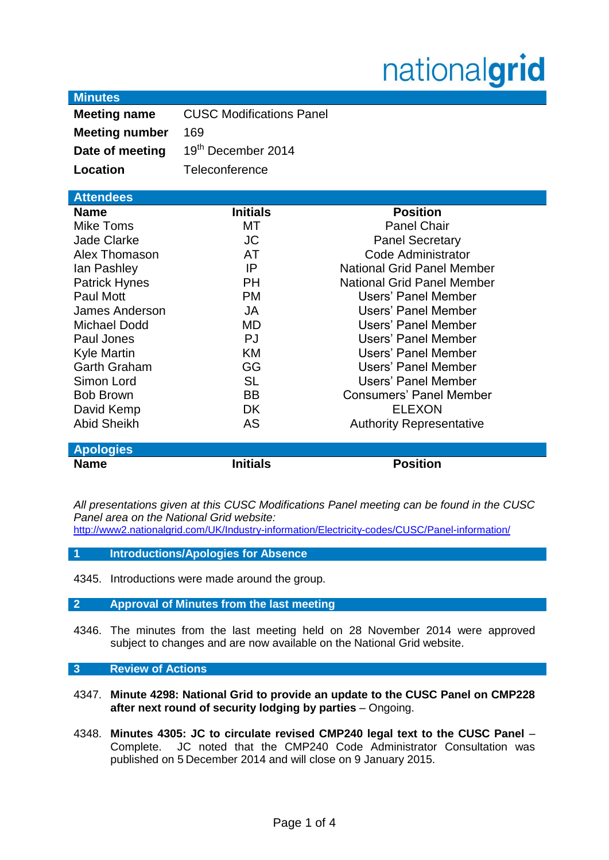# nationalgrid

| <b>Minutes</b> |  |
|----------------|--|
|                |  |
|                |  |

| <b>Meeting name</b>   | <b>CUSC Modifications Panel</b> |  |
|-----------------------|---------------------------------|--|
| <b>Meeting number</b> | 169                             |  |
| Date of meeting       | 19th December 2014              |  |
| Location              | Teleconference                  |  |

| <b>Attendees</b>      |                 |                                   |
|-----------------------|-----------------|-----------------------------------|
| <b>Name</b>           | <b>Initials</b> | <b>Position</b>                   |
| Mike Toms             | МT              | <b>Panel Chair</b>                |
| <b>Jade Clarke</b>    | <b>JC</b>       | <b>Panel Secretary</b>            |
| Alex Thomason         | AT              | Code Administrator                |
| lan Pashley           | IP              | <b>National Grid Panel Member</b> |
| <b>Patrick Hynes</b>  | <b>PH</b>       | <b>National Grid Panel Member</b> |
| Paul Mott             | <b>PM</b>       | <b>Users' Panel Member</b>        |
| <b>James Anderson</b> | JA              | Users' Panel Member               |
| <b>Michael Dodd</b>   | MD              | Users' Panel Member               |
| Paul Jones            | PJ              | Users' Panel Member               |
| <b>Kyle Martin</b>    | KM              | Users' Panel Member               |
| <b>Garth Graham</b>   | GG              | Users' Panel Member               |
| Simon Lord            | <b>SL</b>       | Users' Panel Member               |
| <b>Bob Brown</b>      | <b>BB</b>       | <b>Consumers' Panel Member</b>    |
| David Kemp            | DK.             | <b>ELEXON</b>                     |
| <b>Abid Sheikh</b>    | AS              | <b>Authority Representative</b>   |
|                       |                 |                                   |
| <b>Apologies</b>      |                 |                                   |
| Name                  | <b>Initials</b> | <b>Position</b>                   |

*All presentations given at this CUSC Modifications Panel meeting can be found in the CUSC Panel area on the National Grid website:* 

<http://www2.nationalgrid.com/UK/Industry-information/Electricity-codes/CUSC/Panel-information/>

- **1 Introductions/Apologies for Absence**
- 4345. Introductions were made around the group.

## **2 Approval of Minutes from the last meeting**

4346. The minutes from the last meeting held on 28 November 2014 were approved subject to changes and are now available on the National Grid website.

## **3 Review of Actions**

- 4347. **Minute 4298: National Grid to provide an update to the CUSC Panel on CMP228 after next round of security lodging by parties** – Ongoing.
- 4348. **Minutes 4305: JC to circulate revised CMP240 legal text to the CUSC Panel** Complete. JC noted that the CMP240 Code Administrator Consultation was published on 5 December 2014 and will close on 9 January 2015.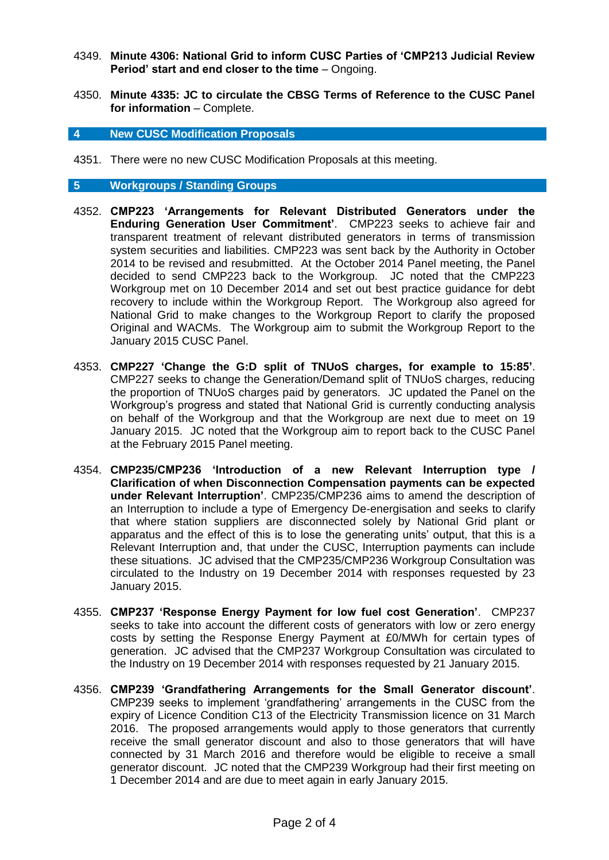- 4349. **Minute 4306: National Grid to inform CUSC Parties of 'CMP213 Judicial Review Period' start and end closer to the time** – Ongoing.
- 4350. **Minute 4335: JC to circulate the CBSG Terms of Reference to the CUSC Panel for information** – Complete.

#### **4 New CUSC Modification Proposals**

4351. There were no new CUSC Modification Proposals at this meeting.

### **5 Workgroups / Standing Groups**

- 4352. **CMP223 'Arrangements for Relevant Distributed Generators under the Enduring Generation User Commitment'**. CMP223 seeks to achieve fair and transparent treatment of relevant distributed generators in terms of transmission system securities and liabilities. CMP223 was sent back by the Authority in October 2014 to be revised and resubmitted. At the October 2014 Panel meeting, the Panel decided to send CMP223 back to the Workgroup. JC noted that the CMP223 Workgroup met on 10 December 2014 and set out best practice guidance for debt recovery to include within the Workgroup Report. The Workgroup also agreed for National Grid to make changes to the Workgroup Report to clarify the proposed Original and WACMs. The Workgroup aim to submit the Workgroup Report to the January 2015 CUSC Panel.
- 4353. **CMP227 'Change the G:D split of TNUoS charges, for example to 15:85'**. CMP227 seeks to change the Generation/Demand split of TNUoS charges, reducing the proportion of TNUoS charges paid by generators. JC updated the Panel on the Workgroup's progress and stated that National Grid is currently conducting analysis on behalf of the Workgroup and that the Workgroup are next due to meet on 19 January 2015. JC noted that the Workgroup aim to report back to the CUSC Panel at the February 2015 Panel meeting.
- 4354. **CMP235/CMP236 'Introduction of a new Relevant Interruption type / Clarification of when Disconnection Compensation payments can be expected under Relevant Interruption'**. CMP235/CMP236 aims to amend the description of an Interruption to include a type of Emergency De-energisation and seeks to clarify that where station suppliers are disconnected solely by National Grid plant or apparatus and the effect of this is to lose the generating units' output, that this is a Relevant Interruption and, that under the CUSC, Interruption payments can include these situations. JC advised that the CMP235/CMP236 Workgroup Consultation was circulated to the Industry on 19 December 2014 with responses requested by 23 January 2015.
- 4355. **CMP237 'Response Energy Payment for low fuel cost Generation'**. CMP237 seeks to take into account the different costs of generators with low or zero energy costs by setting the Response Energy Payment at £0/MWh for certain types of generation. JC advised that the CMP237 Workgroup Consultation was circulated to the Industry on 19 December 2014 with responses requested by 21 January 2015.
- 4356. **CMP239 'Grandfathering Arrangements for the Small Generator discount'**. CMP239 seeks to implement 'grandfathering' arrangements in the CUSC from the expiry of Licence Condition C13 of the Electricity Transmission licence on 31 March 2016. The proposed arrangements would apply to those generators that currently receive the small generator discount and also to those generators that will have connected by 31 March 2016 and therefore would be eligible to receive a small generator discount. JC noted that the CMP239 Workgroup had their first meeting on 1 December 2014 and are due to meet again in early January 2015.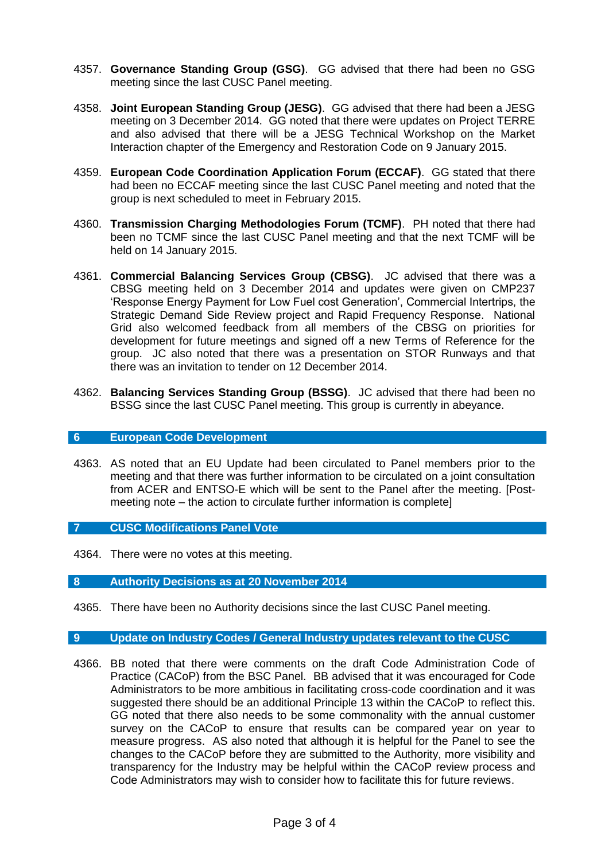- 4357. **Governance Standing Group (GSG)**. GG advised that there had been no GSG meeting since the last CUSC Panel meeting.
- 4358. **Joint European Standing Group (JESG)**. GG advised that there had been a JESG meeting on 3 December 2014. GG noted that there were updates on Project TERRE and also advised that there will be a JESG Technical Workshop on the Market Interaction chapter of the Emergency and Restoration Code on 9 January 2015.
- 4359. **European Code Coordination Application Forum (ECCAF)**. GG stated that there had been no ECCAF meeting since the last CUSC Panel meeting and noted that the group is next scheduled to meet in February 2015.
- 4360. **Transmission Charging Methodologies Forum (TCMF)**. PH noted that there had been no TCMF since the last CUSC Panel meeting and that the next TCMF will be held on 14 January 2015.
- 4361. **Commercial Balancing Services Group (CBSG)**. JC advised that there was a CBSG meeting held on 3 December 2014 and updates were given on CMP237 'Response Energy Payment for Low Fuel cost Generation', Commercial Intertrips, the Strategic Demand Side Review project and Rapid Frequency Response. National Grid also welcomed feedback from all members of the CBSG on priorities for development for future meetings and signed off a new Terms of Reference for the group. JC also noted that there was a presentation on STOR Runways and that there was an invitation to tender on 12 December 2014.
- 4362. **Balancing Services Standing Group (BSSG)**. JC advised that there had been no BSSG since the last CUSC Panel meeting. This group is currently in abeyance.

#### **6 European Code Development**

- 4363. AS noted that an EU Update had been circulated to Panel members prior to the meeting and that there was further information to be circulated on a joint consultation from ACER and ENTSO-E which will be sent to the Panel after the meeting. [Postmeeting note – the action to circulate further information is complete]
- **7 CUSC Modifications Panel Vote**
- 4364. There were no votes at this meeting.

## **8 Authority Decisions as at 20 November 2014**

4365. There have been no Authority decisions since the last CUSC Panel meeting.

## **9 Update on Industry Codes / General Industry updates relevant to the CUSC**

4366. BB noted that there were comments on the draft Code Administration Code of Practice (CACoP) from the BSC Panel. BB advised that it was encouraged for Code Administrators to be more ambitious in facilitating cross-code coordination and it was suggested there should be an additional Principle 13 within the CACoP to reflect this. GG noted that there also needs to be some commonality with the annual customer survey on the CACoP to ensure that results can be compared year on year to measure progress. AS also noted that although it is helpful for the Panel to see the changes to the CACoP before they are submitted to the Authority, more visibility and transparency for the Industry may be helpful within the CACoP review process and Code Administrators may wish to consider how to facilitate this for future reviews.